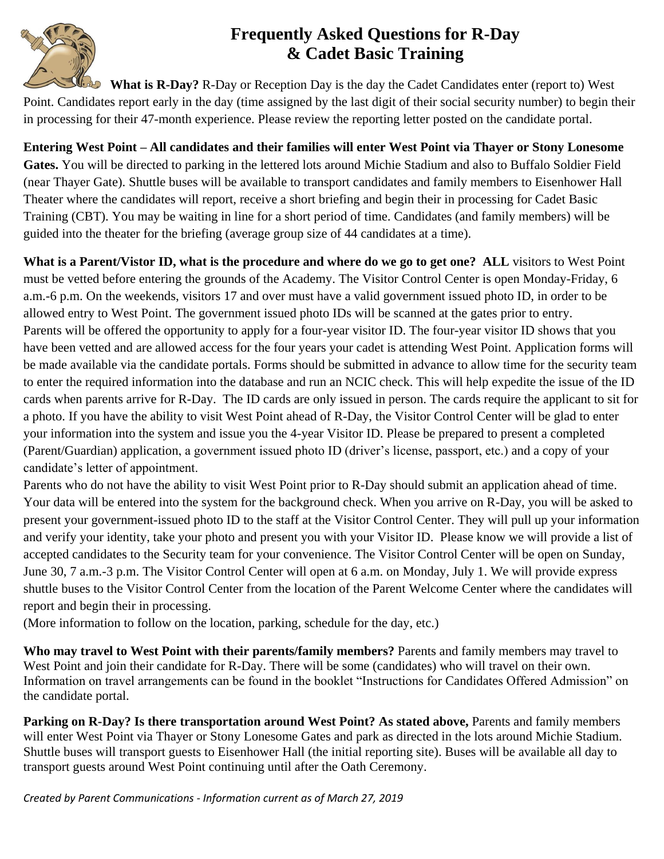

## **Frequently Asked Questions for R-Day & Cadet Basic Training**

What is R-Day? R-Day or Reception Day is the day the Cadet Candidates enter (report to) West Point. Candidates report early in the day (time assigned by the last digit of their social security number) to begin their in processing for their 47-month experience. Please review the reporting letter posted on the candidate portal.

**Entering West Point – All candidates and their families will enter West Point via Thayer or Stony Lonesome Gates.** You will be directed to parking in the lettered lots around Michie Stadium and also to Buffalo Soldier Field (near Thayer Gate). Shuttle buses will be available to transport candidates and family members to Eisenhower Hall Theater where the candidates will report, receive a short briefing and begin their in processing for Cadet Basic Training (CBT). You may be waiting in line for a short period of time. Candidates (and family members) will be

guided into the theater for the briefing (average group size of 44 candidates at a time).

**What is a Parent/Vistor ID, what is the procedure and where do we go to get one? ALL** visitors to West Point must be vetted before entering the grounds of the Academy. The Visitor Control Center is open Monday-Friday, 6 a.m.-6 p.m. On the weekends, visitors 17 and over must have a valid government issued photo ID, in order to be allowed entry to West Point. The government issued photo IDs will be scanned at the gates prior to entry. Parents will be offered the opportunity to apply for a four-year visitor ID. The four-year visitor ID shows that you have been vetted and are allowed access for the four years your cadet is attending West Point. Application forms will be made available via the candidate portals. Forms should be submitted in advance to allow time for the security team to enter the required information into the database and run an NCIC check. This will help expedite the issue of the ID cards when parents arrive for R-Day. The ID cards are only issued in person. The cards require the applicant to sit for a photo. If you have the ability to visit West Point ahead of R-Day, the Visitor Control Center will be glad to enter your information into the system and issue you the 4-year Visitor ID. Please be prepared to present a completed (Parent/Guardian) application, a government issued photo ID (driver's license, passport, etc.) and a copy of your candidate's letter of appointment.

Parents who do not have the ability to visit West Point prior to R-Day should submit an application ahead of time. Your data will be entered into the system for the background check. When you arrive on R-Day, you will be asked to present your government-issued photo ID to the staff at the Visitor Control Center. They will pull up your information and verify your identity, take your photo and present you with your Visitor ID. Please know we will provide a list of accepted candidates to the Security team for your convenience. The Visitor Control Center will be open on Sunday, June 30, 7 a.m.-3 p.m. The Visitor Control Center will open at 6 a.m. on Monday, July 1. We will provide express shuttle buses to the Visitor Control Center from the location of the Parent Welcome Center where the candidates will report and begin their in processing.

(More information to follow on the location, parking, schedule for the day, etc.)

**Who may travel to West Point with their parents/family members?** Parents and family members may travel to West Point and join their candidate for R-Day. There will be some (candidates) who will travel on their own. Information on travel arrangements can be found in the booklet "Instructions for Candidates Offered Admission" on the candidate portal.

Parking on R-Day? Is there transportation around West Point? As stated above, Parents and family members will enter West Point via Thayer or Stony Lonesome Gates and park as directed in the lots around Michie Stadium. Shuttle buses will transport guests to Eisenhower Hall (the initial reporting site). Buses will be available all day to transport guests around West Point continuing until after the Oath Ceremony.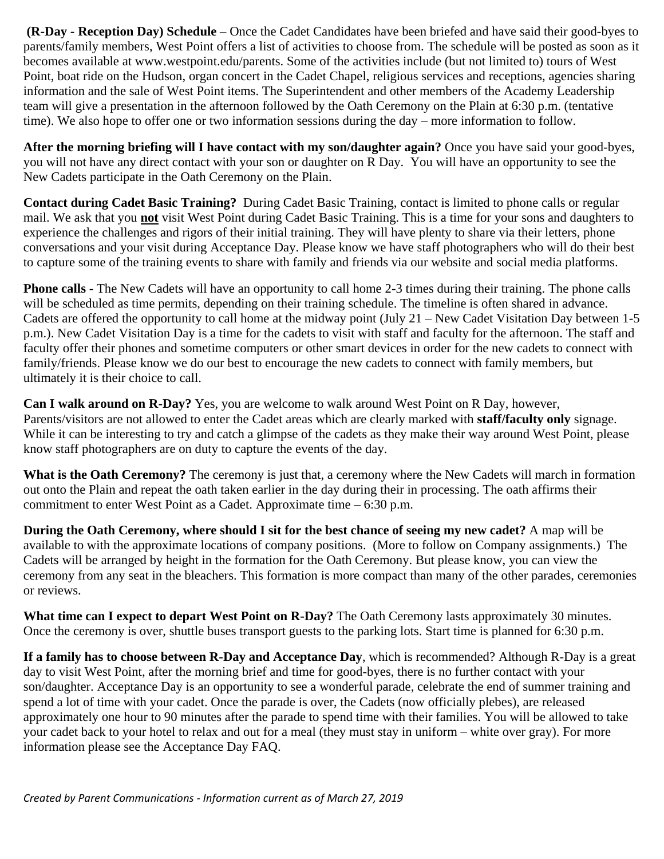**(R-Day - Reception Day) Schedule** – Once the Cadet Candidates have been briefed and have said their good-byes to parents/family members, West Point offers a list of activities to choose from. The schedule will be posted as soon as it becomes available at www.westpoint.edu/parents. Some of the activities include (but not limited to) tours of West Point, boat ride on the Hudson, organ concert in the Cadet Chapel, religious services and receptions, agencies sharing information and the sale of West Point items. The Superintendent and other members of the Academy Leadership team will give a presentation in the afternoon followed by the Oath Ceremony on the Plain at 6:30 p.m. (tentative time). We also hope to offer one or two information sessions during the day – more information to follow.

**After the morning briefing will I have contact with my son/daughter again?** Once you have said your good-byes, you will not have any direct contact with your son or daughter on R Day. You will have an opportunity to see the New Cadets participate in the Oath Ceremony on the Plain.

**Contact during Cadet Basic Training?** During Cadet Basic Training, contact is limited to phone calls or regular mail. We ask that you **not** visit West Point during Cadet Basic Training. This is a time for your sons and daughters to experience the challenges and rigors of their initial training. They will have plenty to share via their letters, phone conversations and your visit during Acceptance Day. Please know we have staff photographers who will do their best to capture some of the training events to share with family and friends via our website and social media platforms.

**Phone calls** - The New Cadets will have an opportunity to call home 2-3 times during their training. The phone calls will be scheduled as time permits, depending on their training schedule. The timeline is often shared in advance. Cadets are offered the opportunity to call home at the midway point (July 21 – New Cadet Visitation Day between 1-5 p.m.). New Cadet Visitation Day is a time for the cadets to visit with staff and faculty for the afternoon. The staff and faculty offer their phones and sometime computers or other smart devices in order for the new cadets to connect with family/friends. Please know we do our best to encourage the new cadets to connect with family members, but ultimately it is their choice to call.

**Can I walk around on R-Day?** Yes, you are welcome to walk around West Point on R Day, however, Parents/visitors are not allowed to enter the Cadet areas which are clearly marked with **staff/faculty only** signage. While it can be interesting to try and catch a glimpse of the cadets as they make their way around West Point, please know staff photographers are on duty to capture the events of the day.

**What is the Oath Ceremony?** The ceremony is just that, a ceremony where the New Cadets will march in formation out onto the Plain and repeat the oath taken earlier in the day during their in processing. The oath affirms their commitment to enter West Point as a Cadet. Approximate time – 6:30 p.m.

**During the Oath Ceremony, where should I sit for the best chance of seeing my new cadet?** A map will be available to with the approximate locations of company positions. (More to follow on Company assignments.) The Cadets will be arranged by height in the formation for the Oath Ceremony. But please know, you can view the ceremony from any seat in the bleachers. This formation is more compact than many of the other parades, ceremonies or reviews.

**What time can I expect to depart West Point on R-Day?** The Oath Ceremony lasts approximately 30 minutes. Once the ceremony is over, shuttle buses transport guests to the parking lots. Start time is planned for 6:30 p.m.

**If a family has to choose between R-Day and Acceptance Day**, which is recommended? Although R-Day is a great day to visit West Point, after the morning brief and time for good-byes, there is no further contact with your son/daughter. Acceptance Day is an opportunity to see a wonderful parade, celebrate the end of summer training and spend a lot of time with your cadet. Once the parade is over, the Cadets (now officially plebes), are released approximately one hour to 90 minutes after the parade to spend time with their families. You will be allowed to take your cadet back to your hotel to relax and out for a meal (they must stay in uniform – white over gray). For more information please see the Acceptance Day FAQ.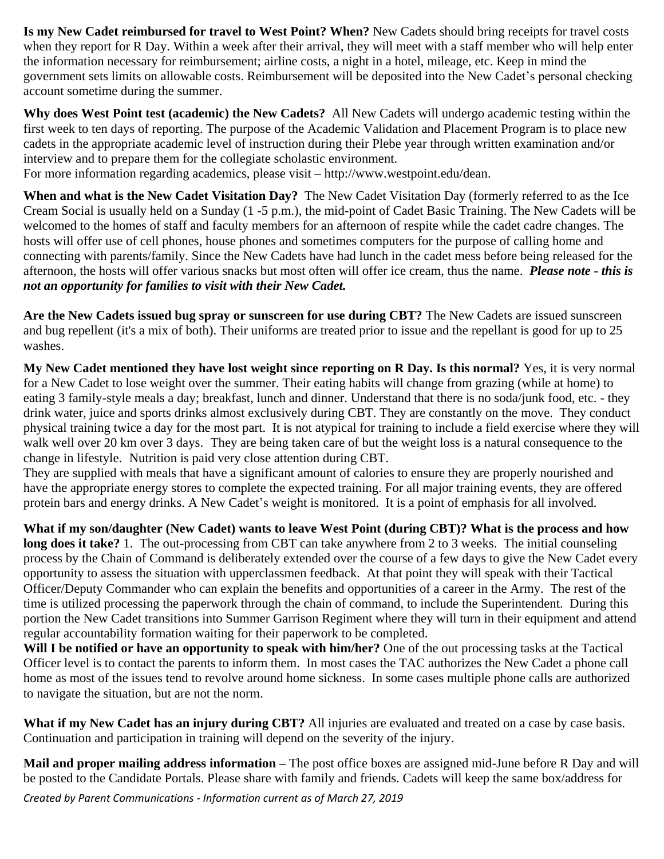**Is my New Cadet reimbursed for travel to West Point? When?** New Cadets should bring receipts for travel costs when they report for R Day. Within a week after their arrival, they will meet with a staff member who will help enter the information necessary for reimbursement; airline costs, a night in a hotel, mileage, etc. Keep in mind the government sets limits on allowable costs. Reimbursement will be deposited into the New Cadet's personal checking account sometime during the summer.

**Why does West Point test (academic) the New Cadets?** All New Cadets will undergo academic testing within the first week to ten days of reporting. The purpose of the Academic Validation and Placement Program is to place new cadets in the appropriate academic level of instruction during their Plebe year through written examination and/or interview and to prepare them for the collegiate scholastic environment.

For more information regarding academics, please visit – http://www.westpoint.edu/dean.

**When and what is the New Cadet Visitation Day?** The New Cadet Visitation Day (formerly referred to as the Ice Cream Social is usually held on a Sunday (1 -5 p.m.), the mid-point of Cadet Basic Training. The New Cadets will be welcomed to the homes of staff and faculty members for an afternoon of respite while the cadet cadre changes. The hosts will offer use of cell phones, house phones and sometimes computers for the purpose of calling home and connecting with parents/family. Since the New Cadets have had lunch in the cadet mess before being released for the afternoon, the hosts will offer various snacks but most often will offer ice cream, thus the name. *Please note - this is not an opportunity for families to visit with their New Cadet.* 

**Are the New Cadets issued bug spray or sunscreen for use during CBT?** The New Cadets are issued sunscreen and bug repellent (it's a mix of both). Their uniforms are treated prior to issue and the repellant is good for up to 25 washes.

**My New Cadet mentioned they have lost weight since reporting on R Day. Is this normal?** Yes, it is very normal for a New Cadet to lose weight over the summer. Their eating habits will change from grazing (while at home) to eating 3 family-style meals a day; breakfast, lunch and dinner. Understand that there is no soda/junk food, etc. - they drink water, juice and sports drinks almost exclusively during CBT. They are constantly on the move. They conduct physical training twice a day for the most part. It is not atypical for training to include a field exercise where they will walk well over 20 km over 3 days. They are being taken care of but the weight loss is a natural consequence to the change in lifestyle. Nutrition is paid very close attention during CBT.

They are supplied with meals that have a significant amount of calories to ensure they are properly nourished and have the appropriate energy stores to complete the expected training. For all major training events, they are offered protein bars and energy drinks. A New Cadet's weight is monitored. It is a point of emphasis for all involved.

**What if my son/daughter (New Cadet) wants to leave West Point (during CBT)? What is the process and how long does it take?** 1. The out-processing from CBT can take anywhere from 2 to 3 weeks. The initial counseling process by the Chain of Command is deliberately extended over the course of a few days to give the New Cadet every opportunity to assess the situation with upperclassmen feedback. At that point they will speak with their Tactical Officer/Deputy Commander who can explain the benefits and opportunities of a career in the Army. The rest of the time is utilized processing the paperwork through the chain of command, to include the Superintendent. During this portion the New Cadet transitions into Summer Garrison Regiment where they will turn in their equipment and attend regular accountability formation waiting for their paperwork to be completed.

**Will I be notified or have an opportunity to speak with him/her?** One of the out processing tasks at the Tactical Officer level is to contact the parents to inform them. In most cases the TAC authorizes the New Cadet a phone call home as most of the issues tend to revolve around home sickness. In some cases multiple phone calls are authorized to navigate the situation, but are not the norm.

**What if my New Cadet has an injury during CBT?** All injuries are evaluated and treated on a case by case basis. Continuation and participation in training will depend on the severity of the injury.

**Mail and proper mailing address information –** The post office boxes are assigned mid-June before R Day and will be posted to the Candidate Portals. Please share with family and friends. Cadets will keep the same box/address for

*Created by Parent Communications - Information current as of March 27, 2019*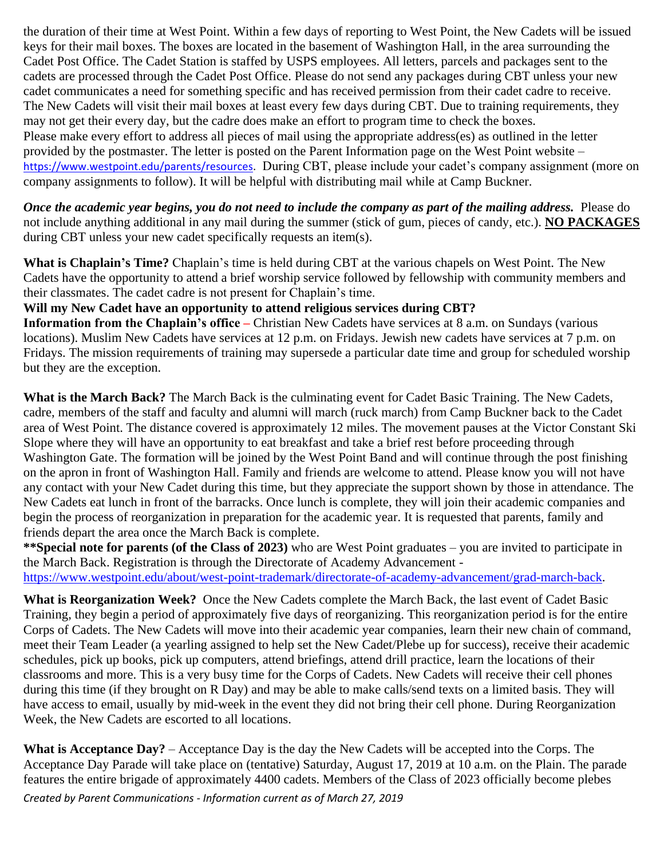the duration of their time at West Point. Within a few days of reporting to West Point, the New Cadets will be issued keys for their mail boxes. The boxes are located in the basement of Washington Hall, in the area surrounding the Cadet Post Office. The Cadet Station is staffed by USPS employees. All letters, parcels and packages sent to the cadets are processed through the Cadet Post Office. Please do not send any packages during CBT unless your new cadet communicates a need for something specific and has received permission from their cadet cadre to receive. The New Cadets will visit their mail boxes at least every few days during CBT. Due to training requirements, they may not get their every day, but the cadre does make an effort to program time to check the boxes. Please make every effort to address all pieces of mail using the appropriate address(es) as outlined in the letter provided by the postmaster. The letter is posted on the Parent Information page on the West Point website – https://www.westpoint.edu/parents/resources. During CBT, please include your cadet's company assignment (more on company assignments to follow). It will be helpful with distributing mail while at Camp Buckner.

*Once the academic year begins, you do not need to include the company as part of the mailing address.* Please do not include anything additional in any mail during the summer (stick of gum, pieces of candy, etc.). **NO PACKAGES** during CBT unless your new cadet specifically requests an item(s).

**What is Chaplain's Time?** Chaplain's time is held during CBT at the various chapels on West Point. The New Cadets have the opportunity to attend a brief worship service followed by fellowship with community members and their classmates. The cadet cadre is not present for Chaplain's time.

## **Will my New Cadet have an opportunity to attend religious services during CBT?**

**Information from the Chaplain's office –** Christian New Cadets have services at 8 a.m. on Sundays (various locations). Muslim New Cadets have services at 12 p.m. on Fridays. Jewish new cadets have services at 7 p.m. on Fridays. The mission requirements of training may supersede a particular date time and group for scheduled worship but they are the exception.

**What is the March Back?** The March Back is the culminating event for Cadet Basic Training. The New Cadets, cadre, members of the staff and faculty and alumni will march (ruck march) from Camp Buckner back to the Cadet area of West Point. The distance covered is approximately 12 miles. The movement pauses at the Victor Constant Ski Slope where they will have an opportunity to eat breakfast and take a brief rest before proceeding through Washington Gate. The formation will be joined by the West Point Band and will continue through the post finishing on the apron in front of Washington Hall. Family and friends are welcome to attend. Please know you will not have any contact with your New Cadet during this time, but they appreciate the support shown by those in attendance. The New Cadets eat lunch in front of the barracks. Once lunch is complete, they will join their academic companies and begin the process of reorganization in preparation for the academic year. It is requested that parents, family and friends depart the area once the March Back is complete.

**\*\*Special note for parents (of the Class of 2023)** who are West Point graduates – you are invited to participate in the March Back. Registration is through the Directorate of Academy Advancement -

https://www.westpoint.edu/about/west-point-trademark/directorate-of-academy-advancement/grad-march-back.

**What is Reorganization Week?** Once the New Cadets complete the March Back, the last event of Cadet Basic Training, they begin a period of approximately five days of reorganizing. This reorganization period is for the entire Corps of Cadets. The New Cadets will move into their academic year companies, learn their new chain of command, meet their Team Leader (a yearling assigned to help set the New Cadet/Plebe up for success), receive their academic schedules, pick up books, pick up computers, attend briefings, attend drill practice, learn the locations of their classrooms and more. This is a very busy time for the Corps of Cadets. New Cadets will receive their cell phones during this time (if they brought on R Day) and may be able to make calls/send texts on a limited basis. They will have access to email, usually by mid-week in the event they did not bring their cell phone. During Reorganization Week, the New Cadets are escorted to all locations.

**What is Acceptance Day?** – Acceptance Day is the day the New Cadets will be accepted into the Corps. The Acceptance Day Parade will take place on (tentative) Saturday, August 17, 2019 at 10 a.m. on the Plain. The parade features the entire brigade of approximately 4400 cadets. Members of the Class of 2023 officially become plebes

*Created by Parent Communications - Information current as of March 27, 2019*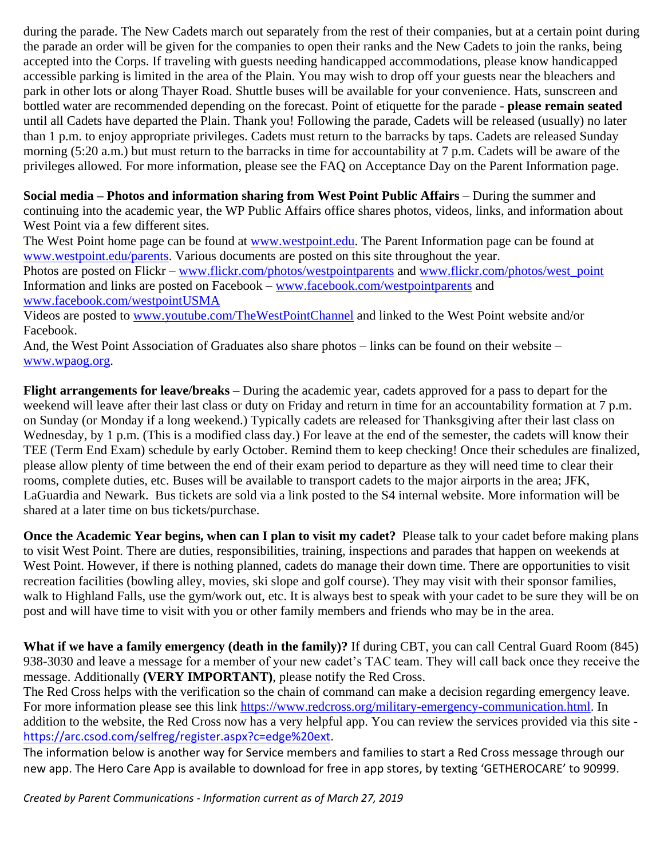during the parade. The New Cadets march out separately from the rest of their companies, but at a certain point during the parade an order will be given for the companies to open their ranks and the New Cadets to join the ranks, being accepted into the Corps. If traveling with guests needing handicapped accommodations, please know handicapped accessible parking is limited in the area of the Plain. You may wish to drop off your guests near the bleachers and park in other lots or along Thayer Road. Shuttle buses will be available for your convenience. Hats, sunscreen and bottled water are recommended depending on the forecast. Point of etiquette for the parade - **please remain seated** until all Cadets have departed the Plain. Thank you! Following the parade, Cadets will be released (usually) no later than 1 p.m. to enjoy appropriate privileges. Cadets must return to the barracks by taps. Cadets are released Sunday morning (5:20 a.m.) but must return to the barracks in time for accountability at 7 p.m. Cadets will be aware of the privileges allowed. For more information, please see the FAQ on Acceptance Day on the Parent Information page.

**Social media – Photos and information sharing from West Point Public Affairs** – During the summer and continuing into the academic year, the WP Public Affairs office shares photos, videos, links, and information about West Point via a few different sites.

The West Point home page can be found at [www.westpoint.edu.](http://www.westpoint.edu/) The Parent Information page can be found at [www.westpoint.edu/parents.](http://www.westpoint.edu/parents) Various documents are posted on this site throughout the year.

Photos are posted on Flickr – [www.flickr.com/photos/westpointparents](http://www.flickr.com/photos/westpointparents) and [www.flickr.com/photos/west\\_point](http://www.flickr.com/photos/west_point) Information and links are posted on Facebook – [www.facebook.com/westpointparents](http://www.facebook.com/westpointparents) and [www.facebook.com/westpointUSMA](http://www.facebook.com/westpointUSMA)

Videos are posted to [www.youtube.com/TheWestPointChannel](http://www.youtube.com/TheWestPointChannel) and linked to the West Point website and/or Facebook.

And, the West Point Association of Graduates also share photos – links can be found on their website – [www.wpaog.org.](http://www.wpaog.org/)

**Flight arrangements for leave/breaks** – During the academic year, cadets approved for a pass to depart for the weekend will leave after their last class or duty on Friday and return in time for an accountability formation at 7 p.m. on Sunday (or Monday if a long weekend.) Typically cadets are released for Thanksgiving after their last class on Wednesday, by 1 p.m. (This is a modified class day.) For leave at the end of the semester, the cadets will know their TEE (Term End Exam) schedule by early October. Remind them to keep checking! Once their schedules are finalized, please allow plenty of time between the end of their exam period to departure as they will need time to clear their rooms, complete duties, etc. Buses will be available to transport cadets to the major airports in the area; JFK, LaGuardia and Newark. Bus tickets are sold via a link posted to the S4 internal website. More information will be shared at a later time on bus tickets/purchase.

**Once the Academic Year begins, when can I plan to visit my cadet?** Please talk to your cadet before making plans to visit West Point. There are duties, responsibilities, training, inspections and parades that happen on weekends at West Point. However, if there is nothing planned, cadets do manage their down time. There are opportunities to visit recreation facilities (bowling alley, movies, ski slope and golf course). They may visit with their sponsor families, walk to Highland Falls, use the gym/work out, etc. It is always best to speak with your cadet to be sure they will be on post and will have time to visit with you or other family members and friends who may be in the area.

**What if we have a family emergency (death in the family)?** If during CBT, you can call Central Guard Room (845) 938-3030 and leave a message for a member of your new cadet's TAC team. They will call back once they receive the message. Additionally **(VERY IMPORTANT)**, please notify the Red Cross.

The Red Cross helps with the verification so the chain of command can make a decision regarding emergency leave. For more information please see this link https://www.redcross.org/military-emergency-communication.html. In addition to the website, the Red Cross now has a very helpful app. You can review the services provided via this site [https://arc.csod.com/selfreg/register.aspx?c=edge%20ext.](https://arc.csod.com/selfreg/register.aspx?c=edge%20ext)

The information below is another way for Service members and families to start a Red Cross message through our new app. The Hero Care App is available to download for free in app stores, by texting 'GETHEROCARE' to 90999.

*Created by Parent Communications - Information current as of March 27, 2019*